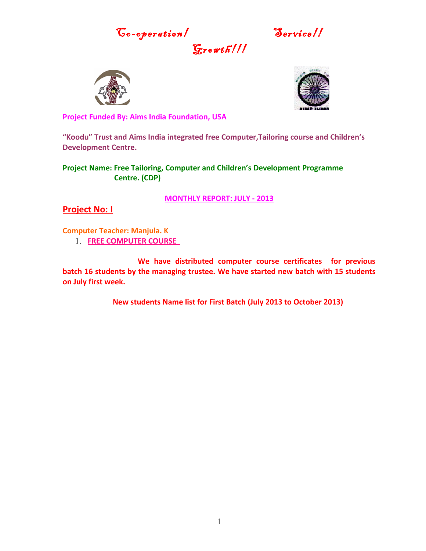Go-operation! Service!!





**Project Funded By: Aims India Foundation, USA**

**"Koodu" Trust and Aims India integrated free Computer,Tailoring course and Children's Development Centre.**

 $G$ rowth!

**Project Name: Free Tailoring, Computer and Children's Development Programme Centre. (CDP)**

**MONTHLY REPORT: JULY - 2013**

**Project No: I**

**Computer Teacher: Manjula. K**

1. **FREE COMPUTER COURSE** 

**We have distributed computer course certificates for previous batch 16 students by the managing trustee. We have started new batch with 15 students on July first week.**

**New students Name list for First Batch (July 2013 to October 2013)**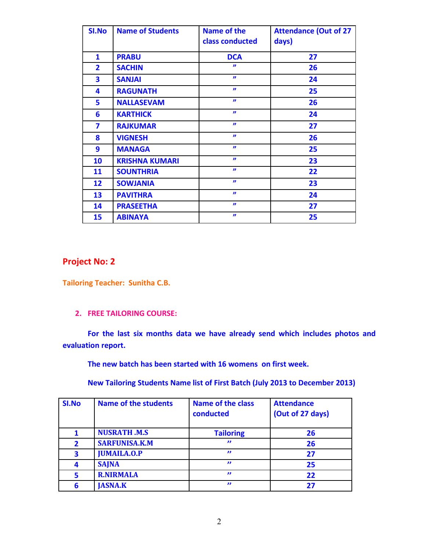| <b>SI.No</b> | <b>Name of Students</b> | Name of the<br>class conducted | <b>Attendance (Out of 27</b><br>days) |
|--------------|-------------------------|--------------------------------|---------------------------------------|
| $\mathbf{1}$ | <b>PRABU</b>            | <b>DCA</b>                     | 27                                    |
| $\mathbf{2}$ | <b>SACHIN</b>           | $\boldsymbol{v}$               | 26                                    |
| 3            | <b>SANJAI</b>           | $\boldsymbol{\eta}$            | 24                                    |
| 4            | <b>RAGUNATH</b>         | $\boldsymbol{\eta}$            | 25                                    |
| 5            | <b>NALLASEVAM</b>       | $\boldsymbol{\eta}$            | 26                                    |
| 6            | <b>KARTHICK</b>         | $\boldsymbol{\eta}$            | 24                                    |
| 7            | <b>RAJKUMAR</b>         | $\boldsymbol{v}$               | 27                                    |
| 8            | <b>VIGNESH</b>          | $\boldsymbol{v}$               | 26                                    |
| 9            | <b>MANAGA</b>           | $\boldsymbol{\eta}$            | 25                                    |
| 10           | <b>KRISHNA KUMARI</b>   | $\boldsymbol{v}$               | 23                                    |
| 11           | <b>SOUNTHRIA</b>        | $\boldsymbol{v}$               | 22                                    |
| 12           | <b>SOWJANIA</b>         | $\boldsymbol{\eta}$            | 23                                    |
| 13           | <b>PAVITHRA</b>         | $\boldsymbol{\eta}$            | 24                                    |
| 14           | <b>PRASEETHA</b>        | $\boldsymbol{\eta}$            | 27                                    |
| 15           | <b>ABINAYA</b>          | $\boldsymbol{\eta}$            | 25                                    |

## **Project No: 2**

**Tailoring Teacher: Sunitha C.B.**

## **2. FREE TAILORING COURSE:**

**For the last six months data we have already send which includes photos and evaluation report.**

**The new batch has been started with 16 womens on first week.**

**New Tailoring Students Name list of First Batch (July 2013 to December 2013)** 

| SI.No        | <b>Name of the students</b> | <b>Name of the class</b><br>conducted | <b>Attendance</b><br>(Out of 27 days) |
|--------------|-----------------------------|---------------------------------------|---------------------------------------|
|              | <b>NUSRATH .M.S</b>         | <b>Tailoring</b>                      | 26                                    |
| $\mathbf{2}$ | <b>SARFUNISA.K.M</b>        | "                                     | 26                                    |
| 3            | <b>JUMAILA.O.P</b>          | "                                     | 27                                    |
| 4            | <b>SAJNA</b>                | "                                     | 25                                    |
| 5            | <b>R.NIRMALA</b>            | "                                     | 22                                    |
| 6            | <b>JASNA.K</b>              | $\mathbf{r}$                          | 27                                    |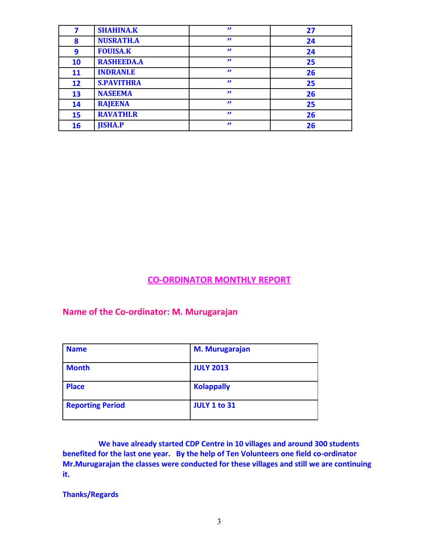|    | <b>SHAHINA.K</b>  | $\boldsymbol{\eta}$ | 27 |
|----|-------------------|---------------------|----|
| 8  | <b>NUSRATH.A</b>  | $\boldsymbol{\eta}$ | 24 |
| 9  | <b>FOUISA.K</b>   | $\boldsymbol{\eta}$ | 24 |
| 10 | <b>RASHEEDA.A</b> | $\boldsymbol{\eta}$ | 25 |
| 11 | <b>INDRANI.E</b>  | $\boldsymbol{\eta}$ | 26 |
| 12 | <b>S.PAVITHRA</b> | $\boldsymbol{\eta}$ | 25 |
| 13 | <b>NASEEMA</b>    | $\boldsymbol{\eta}$ | 26 |
| 14 | <b>RAJEENA</b>    | $\boldsymbol{\eta}$ | 25 |
| 15 | <b>RAVATHI.R</b>  | $\boldsymbol{\eta}$ | 26 |
| 16 | <b>JISHA.P</b>    | $\boldsymbol{\eta}$ | 26 |

**CO-ORDINATOR MONTHLY REPORT**

**Name of the Co-ordinator: M. Murugarajan**

| <b>Name</b>             | <b>M. Murugarajan</b> |
|-------------------------|-----------------------|
| <b>Month</b>            | <b>JULY 2013</b>      |
| <b>Place</b>            | <b>Kolappally</b>     |
| <b>Reporting Period</b> | <b>JULY 1 to 31</b>   |

 **We have already started CDP Centre in 10 villages and around 300 students benefited for the last one year. By the help of Ten Volunteers one field co-ordinator Mr.Murugarajan the classes were conducted for these villages and still we are continuing it.** 

**Thanks/Regards**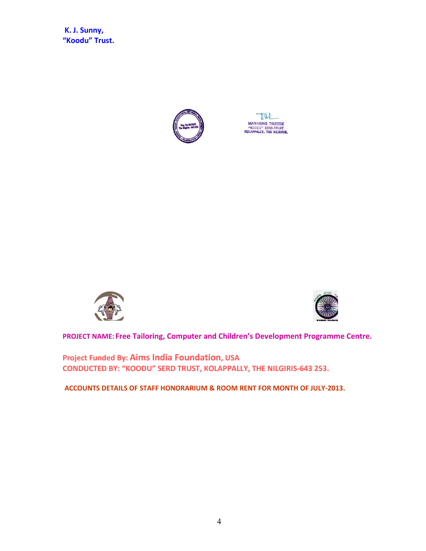**K. J. Sunny, "Koodu" Trust.**



M MANAGING TRUSTEE<br>"KOODU" SERD-TRUST<br>KOLAPPALLY, THE NILGIRIS.





**PROJECT NAME: Free Tailoring, Computer and Children's Development Programme Centre.** 

**Project Funded By: Aims India Foundation, USA CONDUCTED BY: "KOODU" SERD TRUST, KOLAPPALLY, THE NILGIRIS-643 253.**

**ACCOUNTS DETAILS OF STAFF HONORARIUM & ROOM RENT FOR MONTH OF JULY-2013.**